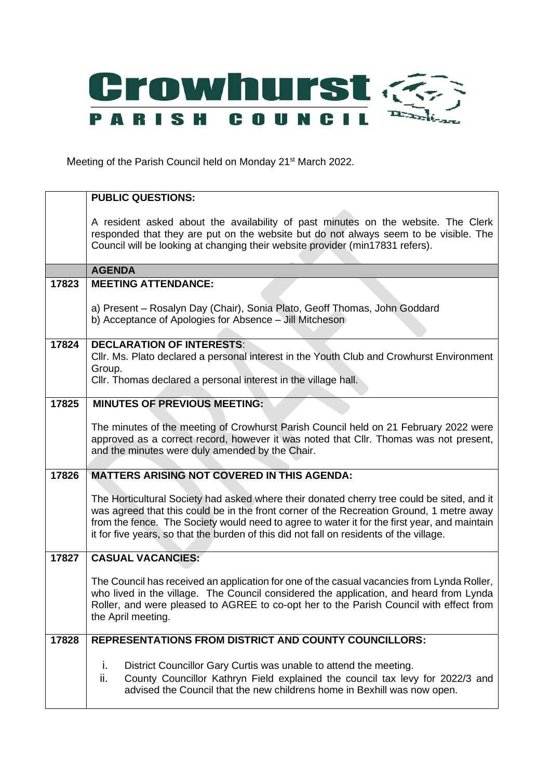

Meeting of the Parish Council held on Monday 21<sup>st</sup> March 2022.

|       | <b>PUBLIC QUESTIONS:</b>                                                                                                                                                                                                                                                                                                                                                          |
|-------|-----------------------------------------------------------------------------------------------------------------------------------------------------------------------------------------------------------------------------------------------------------------------------------------------------------------------------------------------------------------------------------|
|       | A resident asked about the availability of past minutes on the website. The Clerk<br>responded that they are put on the website but do not always seem to be visible. The<br>Council will be looking at changing their website provider (min17831 refers).                                                                                                                        |
|       | <b>AGENDA</b>                                                                                                                                                                                                                                                                                                                                                                     |
| 17823 | <b>MEETING ATTENDANCE:</b>                                                                                                                                                                                                                                                                                                                                                        |
|       | a) Present - Rosalyn Day (Chair), Sonia Plato, Geoff Thomas, John Goddard<br>b) Acceptance of Apologies for Absence - Jill Mitcheson                                                                                                                                                                                                                                              |
| 17824 | <b>DECLARATION OF INTERESTS:</b>                                                                                                                                                                                                                                                                                                                                                  |
|       | CIIr. Ms. Plato declared a personal interest in the Youth Club and Crowhurst Environment<br>Group.                                                                                                                                                                                                                                                                                |
|       | CIIr. Thomas declared a personal interest in the village hall.                                                                                                                                                                                                                                                                                                                    |
| 17825 | <b>MINUTES OF PREVIOUS MEETING:</b>                                                                                                                                                                                                                                                                                                                                               |
|       | The minutes of the meeting of Crowhurst Parish Council held on 21 February 2022 were<br>approved as a correct record, however it was noted that Cllr. Thomas was not present,<br>and the minutes were duly amended by the Chair.                                                                                                                                                  |
| 17826 | <b>MATTERS ARISING NOT COVERED IN THIS AGENDA:</b>                                                                                                                                                                                                                                                                                                                                |
|       | The Horticultural Society had asked where their donated cherry tree could be sited, and it<br>was agreed that this could be in the front corner of the Recreation Ground, 1 metre away<br>from the fence. The Society would need to agree to water it for the first year, and maintain<br>it for five years, so that the burden of this did not fall on residents of the village. |
| 17827 | <b>CASUAL VACANCIES:</b>                                                                                                                                                                                                                                                                                                                                                          |
|       | The Council has received an application for one of the casual vacancies from Lynda Roller,<br>who lived in the village. The Council considered the application, and heard from Lynda<br>Roller, and were pleased to AGREE to co-opt her to the Parish Council with effect from<br>the April meeting.                                                                              |
| 17828 | <b>REPRESENTATIONS FROM DISTRICT AND COUNTY COUNCILLORS:</b>                                                                                                                                                                                                                                                                                                                      |
|       | District Councillor Gary Curtis was unable to attend the meeting.<br>i.<br>ii.<br>County Councillor Kathryn Field explained the council tax levy for 2022/3 and<br>advised the Council that the new childrens home in Bexhill was now open.                                                                                                                                       |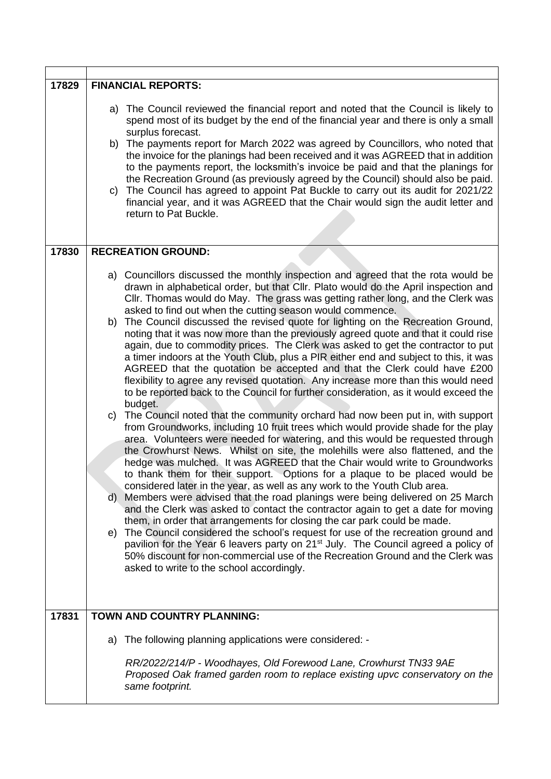| 17829 | <b>FINANCIAL REPORTS:</b>                                                                                                                                                                                                                                                                                                                                                                                                                                                                                                                                                                                                                                                                                                                                                                                                                                                                                                                                                                                                                                                                                                                                                |
|-------|--------------------------------------------------------------------------------------------------------------------------------------------------------------------------------------------------------------------------------------------------------------------------------------------------------------------------------------------------------------------------------------------------------------------------------------------------------------------------------------------------------------------------------------------------------------------------------------------------------------------------------------------------------------------------------------------------------------------------------------------------------------------------------------------------------------------------------------------------------------------------------------------------------------------------------------------------------------------------------------------------------------------------------------------------------------------------------------------------------------------------------------------------------------------------|
|       | a) The Council reviewed the financial report and noted that the Council is likely to<br>spend most of its budget by the end of the financial year and there is only a small<br>surplus forecast.<br>b) The payments report for March 2022 was agreed by Councillors, who noted that<br>the invoice for the planings had been received and it was AGREED that in addition<br>to the payments report, the locksmith's invoice be paid and that the planings for<br>the Recreation Ground (as previously agreed by the Council) should also be paid.<br>c) The Council has agreed to appoint Pat Buckle to carry out its audit for 2021/22<br>financial year, and it was AGREED that the Chair would sign the audit letter and<br>return to Pat Buckle.                                                                                                                                                                                                                                                                                                                                                                                                                     |
| 17830 | <b>RECREATION GROUND:</b>                                                                                                                                                                                                                                                                                                                                                                                                                                                                                                                                                                                                                                                                                                                                                                                                                                                                                                                                                                                                                                                                                                                                                |
|       | a) Councillors discussed the monthly inspection and agreed that the rota would be<br>drawn in alphabetical order, but that Cllr. Plato would do the April inspection and<br>Cllr. Thomas would do May. The grass was getting rather long, and the Clerk was<br>asked to find out when the cutting season would commence.<br>b) The Council discussed the revised quote for lighting on the Recreation Ground,<br>noting that it was now more than the previously agreed quote and that it could rise<br>again, due to commodity prices. The Clerk was asked to get the contractor to put<br>a timer indoors at the Youth Club, plus a PIR either end and subject to this, it was<br>AGREED that the quotation be accepted and that the Clerk could have £200<br>flexibility to agree any revised quotation. Any increase more than this would need<br>to be reported back to the Council for further consideration, as it would exceed the<br>budget.                                                                                                                                                                                                                    |
|       | The Council noted that the community orchard had now been put in, with support<br>C)<br>from Groundworks, including 10 fruit trees which would provide shade for the play<br>area. Volunteers were needed for watering, and this would be requested through<br>the Crowhurst News. Whilst on site, the molehills were also flattened, and the<br>hedge was mulched. It was AGREED that the Chair would write to Groundworks<br>to thank them for their support. Options for a plaque to be placed would be<br>considered later in the year, as well as any work to the Youth Club area.<br>Members were advised that the road planings were being delivered on 25 March<br>d)<br>and the Clerk was asked to contact the contractor again to get a date for moving<br>them, in order that arrangements for closing the car park could be made.<br>The Council considered the school's request for use of the recreation ground and<br>e)<br>pavilion for the Year 6 leavers party on 21 <sup>st</sup> July. The Council agreed a policy of<br>50% discount for non-commercial use of the Recreation Ground and the Clerk was<br>asked to write to the school accordingly. |
| 17831 | TOWN AND COUNTRY PLANNING:                                                                                                                                                                                                                                                                                                                                                                                                                                                                                                                                                                                                                                                                                                                                                                                                                                                                                                                                                                                                                                                                                                                                               |
|       | The following planning applications were considered: -<br>a)                                                                                                                                                                                                                                                                                                                                                                                                                                                                                                                                                                                                                                                                                                                                                                                                                                                                                                                                                                                                                                                                                                             |
|       | RR/2022/214/P - Woodhayes, Old Forewood Lane, Crowhurst TN33 9AE<br>Proposed Oak framed garden room to replace existing upvc conservatory on the<br>same footprint.                                                                                                                                                                                                                                                                                                                                                                                                                                                                                                                                                                                                                                                                                                                                                                                                                                                                                                                                                                                                      |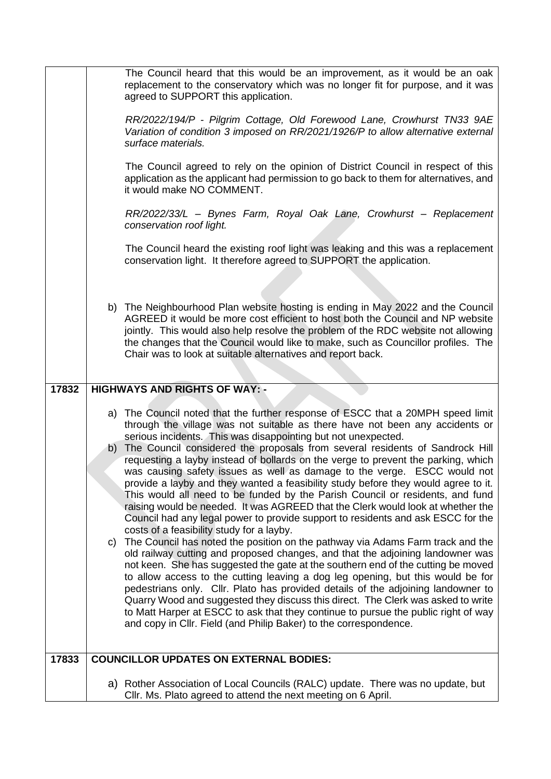|       | The Council heard that this would be an improvement, as it would be an oak<br>replacement to the conservatory which was no longer fit for purpose, and it was<br>agreed to SUPPORT this application.<br>RR/2022/194/P - Pilgrim Cottage, Old Forewood Lane, Crowhurst TN33 9AE<br>Variation of condition 3 imposed on RR/2021/1926/P to allow alternative external<br>surface materials.<br>The Council agreed to rely on the opinion of District Council in respect of this<br>application as the applicant had permission to go back to them for alternatives, and<br>it would make NO COMMENT.<br>RR/2022/33/L - Bynes Farm, Royal Oak Lane, Crowhurst - Replacement<br>conservation roof light.<br>The Council heard the existing roof light was leaking and this was a replacement<br>conservation light. It therefore agreed to SUPPORT the application.<br>b) The Neighbourhood Plan website hosting is ending in May 2022 and the Council<br>AGREED it would be more cost efficient to host both the Council and NP website<br>jointly. This would also help resolve the problem of the RDC website not allowing<br>the changes that the Council would like to make, such as Councillor profiles. The<br>Chair was to look at suitable alternatives and report back.                                                                                                                                                                                                                                                                                                                                            |
|-------|-------------------------------------------------------------------------------------------------------------------------------------------------------------------------------------------------------------------------------------------------------------------------------------------------------------------------------------------------------------------------------------------------------------------------------------------------------------------------------------------------------------------------------------------------------------------------------------------------------------------------------------------------------------------------------------------------------------------------------------------------------------------------------------------------------------------------------------------------------------------------------------------------------------------------------------------------------------------------------------------------------------------------------------------------------------------------------------------------------------------------------------------------------------------------------------------------------------------------------------------------------------------------------------------------------------------------------------------------------------------------------------------------------------------------------------------------------------------------------------------------------------------------------------------------------------------------------------------------------------------------|
| 17832 | <b>HIGHWAYS AND RIGHTS OF WAY: -</b>                                                                                                                                                                                                                                                                                                                                                                                                                                                                                                                                                                                                                                                                                                                                                                                                                                                                                                                                                                                                                                                                                                                                                                                                                                                                                                                                                                                                                                                                                                                                                                                    |
| 17833 | a) The Council noted that the further response of ESCC that a 20MPH speed limit<br>through the village was not suitable as there have not been any accidents or<br>serious incidents. This was disappointing but not unexpected.<br>The Council considered the proposals from several residents of Sandrock Hill<br>b)<br>requesting a layby instead of bollards on the verge to prevent the parking, which<br>was causing safety issues as well as damage to the verge. ESCC would not<br>provide a layby and they wanted a feasibility study before they would agree to it.<br>This would all need to be funded by the Parish Council or residents, and fund<br>raising would be needed. It was AGREED that the Clerk would look at whether the<br>Council had any legal power to provide support to residents and ask ESCC for the<br>costs of a feasibility study for a layby.<br>The Council has noted the position on the pathway via Adams Farm track and the<br>C)<br>old railway cutting and proposed changes, and that the adjoining landowner was<br>not keen. She has suggested the gate at the southern end of the cutting be moved<br>to allow access to the cutting leaving a dog leg opening, but this would be for<br>pedestrians only. Cllr. Plato has provided details of the adjoining landowner to<br>Quarry Wood and suggested they discuss this direct. The Clerk was asked to write<br>to Matt Harper at ESCC to ask that they continue to pursue the public right of way<br>and copy in Cllr. Field (and Philip Baker) to the correspondence.<br><b>COUNCILLOR UPDATES ON EXTERNAL BODIES:</b> |
|       | a) Rother Association of Local Councils (RALC) update. There was no update, but                                                                                                                                                                                                                                                                                                                                                                                                                                                                                                                                                                                                                                                                                                                                                                                                                                                                                                                                                                                                                                                                                                                                                                                                                                                                                                                                                                                                                                                                                                                                         |
|       | CIIr. Ms. Plato agreed to attend the next meeting on 6 April.                                                                                                                                                                                                                                                                                                                                                                                                                                                                                                                                                                                                                                                                                                                                                                                                                                                                                                                                                                                                                                                                                                                                                                                                                                                                                                                                                                                                                                                                                                                                                           |